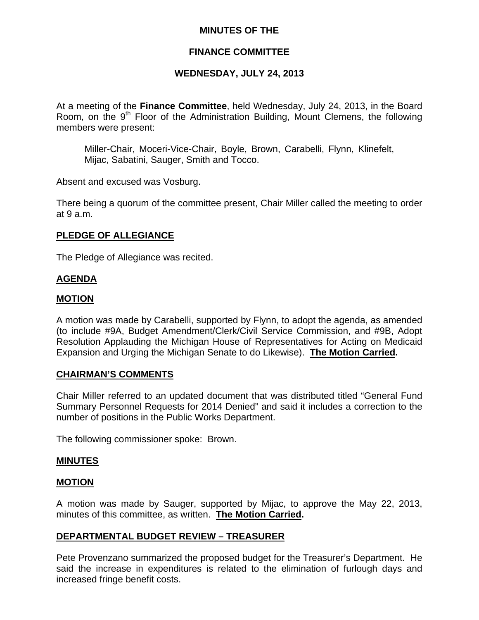## **MINUTES OF THE**

## **FINANCE COMMITTEE**

## **WEDNESDAY, JULY 24, 2013**

At a meeting of the **Finance Committee**, held Wednesday, July 24, 2013, in the Board Room, on the  $9<sup>th</sup>$  Floor of the Administration Building, Mount Clemens, the following members were present:

Miller-Chair, Moceri-Vice-Chair, Boyle, Brown, Carabelli, Flynn, Klinefelt, Mijac, Sabatini, Sauger, Smith and Tocco.

Absent and excused was Vosburg.

There being a quorum of the committee present, Chair Miller called the meeting to order at 9 a.m.

### **PLEDGE OF ALLEGIANCE**

The Pledge of Allegiance was recited.

### **AGENDA**

#### **MOTION**

A motion was made by Carabelli, supported by Flynn, to adopt the agenda, as amended (to include #9A, Budget Amendment/Clerk/Civil Service Commission, and #9B, Adopt Resolution Applauding the Michigan House of Representatives for Acting on Medicaid Expansion and Urging the Michigan Senate to do Likewise). **The Motion Carried.** 

### **CHAIRMAN'S COMMENTS**

Chair Miller referred to an updated document that was distributed titled "General Fund Summary Personnel Requests for 2014 Denied" and said it includes a correction to the number of positions in the Public Works Department.

The following commissioner spoke: Brown.

#### **MINUTES**

### **MOTION**

A motion was made by Sauger, supported by Mijac, to approve the May 22, 2013, minutes of this committee, as written. **The Motion Carried.** 

### **DEPARTMENTAL BUDGET REVIEW – TREASURER**

Pete Provenzano summarized the proposed budget for the Treasurer's Department. He said the increase in expenditures is related to the elimination of furlough days and increased fringe benefit costs.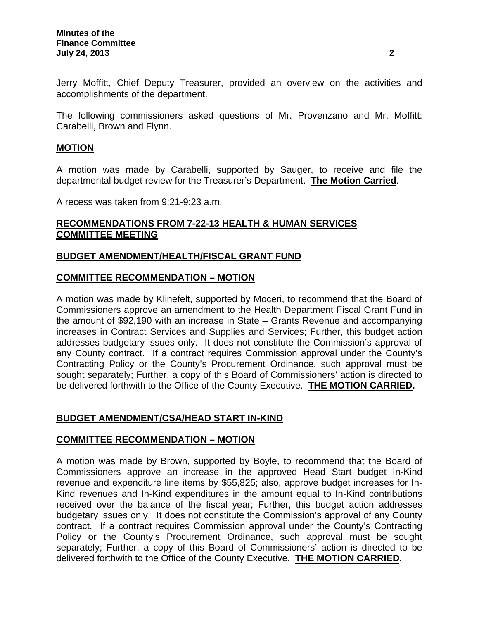Jerry Moffitt, Chief Deputy Treasurer, provided an overview on the activities and accomplishments of the department.

The following commissioners asked questions of Mr. Provenzano and Mr. Moffitt: Carabelli, Brown and Flynn.

### **MOTION**

A motion was made by Carabelli, supported by Sauger, to receive and file the departmental budget review for the Treasurer's Department. **The Motion Carried**.

A recess was taken from 9:21-9:23 a.m.

## **RECOMMENDATIONS FROM 7-22-13 HEALTH & HUMAN SERVICES COMMITTEE MEETING**

### **BUDGET AMENDMENT/HEALTH/FISCAL GRANT FUND**

### **COMMITTEE RECOMMENDATION – MOTION**

A motion was made by Klinefelt, supported by Moceri, to recommend that the Board of Commissioners approve an amendment to the Health Department Fiscal Grant Fund in the amount of \$92,190 with an increase in State – Grants Revenue and accompanying increases in Contract Services and Supplies and Services; Further, this budget action addresses budgetary issues only. It does not constitute the Commission's approval of any County contract. If a contract requires Commission approval under the County's Contracting Policy or the County's Procurement Ordinance, such approval must be sought separately; Further, a copy of this Board of Commissioners' action is directed to be delivered forthwith to the Office of the County Executive. **THE MOTION CARRIED.** 

### **BUDGET AMENDMENT/CSA/HEAD START IN-KIND**

### **COMMITTEE RECOMMENDATION – MOTION**

A motion was made by Brown, supported by Boyle, to recommend that the Board of Commissioners approve an increase in the approved Head Start budget In-Kind revenue and expenditure line items by \$55,825; also, approve budget increases for In-Kind revenues and In-Kind expenditures in the amount equal to In-Kind contributions received over the balance of the fiscal year; Further, this budget action addresses budgetary issues only. It does not constitute the Commission's approval of any County contract. If a contract requires Commission approval under the County's Contracting Policy or the County's Procurement Ordinance, such approval must be sought separately; Further, a copy of this Board of Commissioners' action is directed to be delivered forthwith to the Office of the County Executive. **THE MOTION CARRIED.**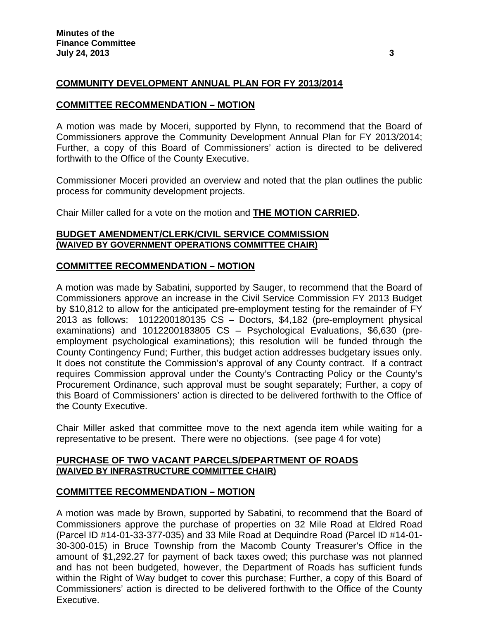## **COMMUNITY DEVELOPMENT ANNUAL PLAN FOR FY 2013/2014**

### **COMMITTEE RECOMMENDATION – MOTION**

A motion was made by Moceri, supported by Flynn, to recommend that the Board of Commissioners approve the Community Development Annual Plan for FY 2013/2014; Further, a copy of this Board of Commissioners' action is directed to be delivered forthwith to the Office of the County Executive.

Commissioner Moceri provided an overview and noted that the plan outlines the public process for community development projects.

Chair Miller called for a vote on the motion and **THE MOTION CARRIED.** 

### **BUDGET AMENDMENT/CLERK/CIVIL SERVICE COMMISSION (WAIVED BY GOVERNMENT OPERATIONS COMMITTEE CHAIR)**

### **COMMITTEE RECOMMENDATION – MOTION**

A motion was made by Sabatini, supported by Sauger, to recommend that the Board of Commissioners approve an increase in the Civil Service Commission FY 2013 Budget by \$10,812 to allow for the anticipated pre-employment testing for the remainder of FY 2013 as follows: 1012200180135 CS – Doctors, \$4,182 (pre-employment physical examinations) and 1012200183805 CS – Psychological Evaluations, \$6,630 (preemployment psychological examinations); this resolution will be funded through the County Contingency Fund; Further, this budget action addresses budgetary issues only. It does not constitute the Commission's approval of any County contract. If a contract requires Commission approval under the County's Contracting Policy or the County's Procurement Ordinance, such approval must be sought separately; Further, a copy of this Board of Commissioners' action is directed to be delivered forthwith to the Office of the County Executive.

Chair Miller asked that committee move to the next agenda item while waiting for a representative to be present. There were no objections. (see page 4 for vote)

### **PURCHASE OF TWO VACANT PARCELS/DEPARTMENT OF ROADS (WAIVED BY INFRASTRUCTURE COMMITTEE CHAIR)**

### **COMMITTEE RECOMMENDATION – MOTION**

A motion was made by Brown, supported by Sabatini, to recommend that the Board of Commissioners approve the purchase of properties on 32 Mile Road at Eldred Road (Parcel ID #14-01-33-377-035) and 33 Mile Road at Dequindre Road (Parcel ID #14-01- 30-300-015) in Bruce Township from the Macomb County Treasurer's Office in the amount of \$1,292.27 for payment of back taxes owed; this purchase was not planned and has not been budgeted, however, the Department of Roads has sufficient funds within the Right of Way budget to cover this purchase; Further, a copy of this Board of Commissioners' action is directed to be delivered forthwith to the Office of the County Executive.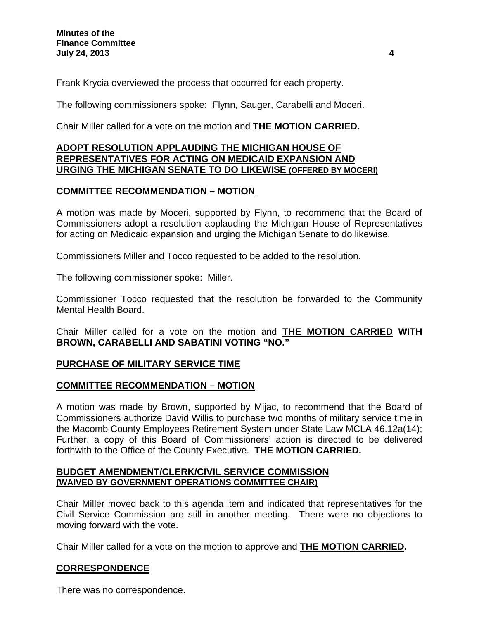Frank Krycia overviewed the process that occurred for each property.

The following commissioners spoke: Flynn, Sauger, Carabelli and Moceri.

Chair Miller called for a vote on the motion and **THE MOTION CARRIED.** 

## **ADOPT RESOLUTION APPLAUDING THE MICHIGAN HOUSE OF REPRESENTATIVES FOR ACTING ON MEDICAID EXPANSION AND URGING THE MICHIGAN SENATE TO DO LIKEWISE (OFFERED BY MOCERI)**

## **COMMITTEE RECOMMENDATION – MOTION**

A motion was made by Moceri, supported by Flynn, to recommend that the Board of Commissioners adopt a resolution applauding the Michigan House of Representatives for acting on Medicaid expansion and urging the Michigan Senate to do likewise.

Commissioners Miller and Tocco requested to be added to the resolution.

The following commissioner spoke: Miller.

Commissioner Tocco requested that the resolution be forwarded to the Community Mental Health Board.

Chair Miller called for a vote on the motion and **THE MOTION CARRIED WITH BROWN, CARABELLI AND SABATINI VOTING "NO."**

## **PURCHASE OF MILITARY SERVICE TIME**

## **COMMITTEE RECOMMENDATION – MOTION**

A motion was made by Brown, supported by Mijac, to recommend that the Board of Commissioners authorize David Willis to purchase two months of military service time in the Macomb County Employees Retirement System under State Law MCLA 46.12a(14); Further, a copy of this Board of Commissioners' action is directed to be delivered forthwith to the Office of the County Executive. **THE MOTION CARRIED.** 

### **BUDGET AMENDMENT/CLERK/CIVIL SERVICE COMMISSION (WAIVED BY GOVERNMENT OPERATIONS COMMITTEE CHAIR)**

Chair Miller moved back to this agenda item and indicated that representatives for the Civil Service Commission are still in another meeting. There were no objections to moving forward with the vote.

Chair Miller called for a vote on the motion to approve and **THE MOTION CARRIED.**

## **CORRESPONDENCE**

There was no correspondence.